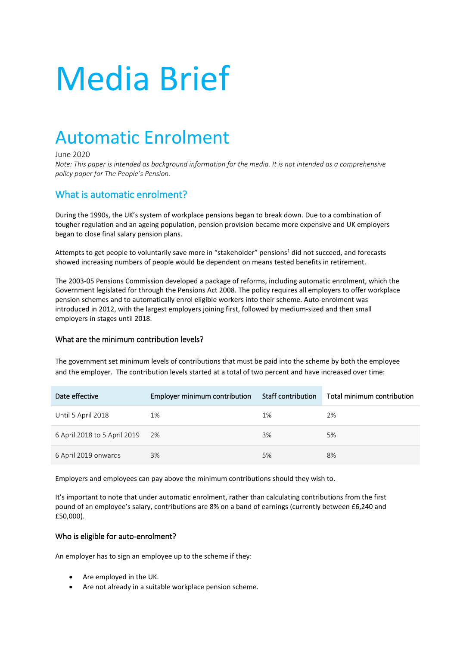# Media Brief

## Automatic Enrolment

#### June 2020

*Note: This paper is intended as background information for the media. It is not intended as a comprehensive policy paper for The People's Pension.*

### What is automatic enrolment?

During the 1990s, the UK's system of workplace pensions began to break down. Due to a combination of tougher regulation and an ageing population, pension provision became more expensive and UK employers began to close final salary pension plans.

Attempts to get people to voluntarily save more in "stakeholder" pensions<sup>1</sup> did not succeed, and forecasts showed increasing numbers of people would be dependent on means tested benefits in retirement.

The 2003-05 Pensions Commission developed a package of reforms, including automatic enrolment, which the Government legislated for through the Pensions Act 2008. The policy requires all employers to offer workplace pension schemes and to automatically enrol eligible workers into their scheme. Auto-enrolment was introduced in 2012, with the largest employers joining first, followed by medium-sized and then small employers in stages until 2018.

#### What are the minimum contribution levels?

The government set minimum levels of contributions that must be paid into the scheme by both the employee and the employer. The contribution levels started at a total of two percent and have increased over time:

| Date effective               | Employer minimum contribution | Staff contribution | Total minimum contribution |
|------------------------------|-------------------------------|--------------------|----------------------------|
| Until 5 April 2018           | 1%                            | 1%                 | 2%                         |
| 6 April 2018 to 5 April 2019 | - 2%                          | 3%                 | 5%                         |
| 6 April 2019 onwards         | 3%                            | 5%                 | 8%                         |

Employers and employees can pay above the minimum contributions should they wish to.

It's important to note that under automatic enrolment, rather than calculating contributions from the first pound of an employee's salary, contributions are 8% on a band of earnings (currently between £6,240 and £50,000).

#### Who is eligible for auto-enrolment?

An employer has to sign an employee up to the scheme if they:

- Are employed in the UK.
- Are not already in a suitable workplace pension scheme.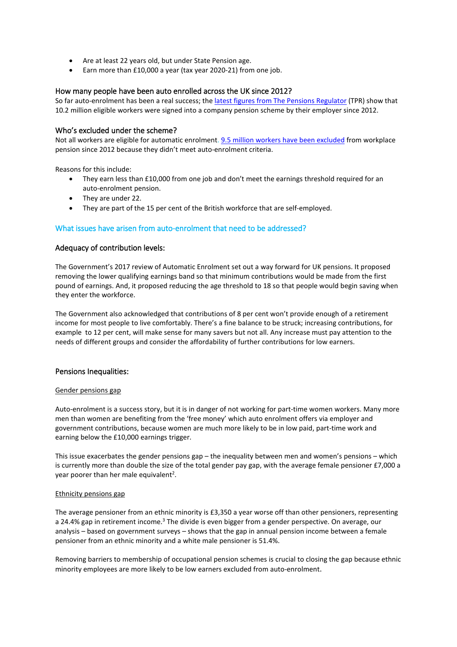- Are at least 22 years old, but under State Pension age.
- Earn more than £10,000 a year (tax year 2020-21) from one job.

#### How many people have been auto enrolled across the UK since 2012?

So far auto-enrolment has been a real success; th[e latest figures from The Pensions Regulator](https://www.thepensionsregulator.gov.uk/en/document-library/research-and-analysis/dc-trust-scheme-return-data-2019-2020) (TPR) show that 10.2 million eligible workers were signed into a company pension scheme by their employer since 2012.

#### Who's excluded under the scheme?

[Not all workers are eligible for automatic enrolment. 9.5 million workers have been excluded](https://www.thepensionsregulator.gov.uk/en/document-library/research-and-analysis/dc-trust-scheme-return-data-2019-2020) from workplace pension since 2012 because they didn't meet auto-enrolment criteria.

Reasons for this include:

- They earn less than £10,000 from one job and don't meet the earnings threshold required for an auto-enrolment pension.
- They are under 22.
- They are part of the 15 per cent of the British workforce that are self-employed.

#### What issues have arisen from auto-enrolment that need to be addressed?

#### Adequacy of contribution levels:

The Government's 2017 review of Automatic Enrolment set out a way forward for UK pensions. It proposed removing the lower qualifying earnings band so that minimum contributions would be made from the first pound of earnings. And, it proposed reducing the age threshold to 18 so that people would begin saving when they enter the workforce.

The Government also acknowledged that contributions of 8 per cent won't provide enough of a retirement income for most people to live comfortably. There's a fine balance to be struck; increasing contributions, for example to 12 per cent, will make sense for many savers but not all. Any increase must pay attention to the needs of different groups and consider the affordability of further contributions for low earners.

#### Pensions Inequalities:

#### Gender pensions gap

Auto-enrolment is a success story, but it is in danger of not working for part-time women workers. Many more men than women are benefiting from the 'free money' which auto enrolment offers via employer and government contributions, because women are much more likely to be in low paid, part-time work and earning below the £10,000 earnings trigger.

This issue exacerbates the gender pensions gap – the inequality between men and women's pensions – which is currently more than double the size of the total gender pay gap, with the average female pensioner £7,000 a year poorer than her male equivalent<sup>2</sup>.

#### Ethnicity pensions gap

The average pensioner from an ethnic minority is £3,350 a year worse off than other pensioners, representing a 24.4% gap in retirement income.<sup>3</sup> The divide is even bigger from a gender perspective. On average, our analysis – based on government surveys – shows that the gap in annual pension income between a female pensioner from an ethnic minority and a white male pensioner is 51.4%.

Removing barriers to membership of occupational pension schemes is crucial to closing the gap because ethnic minority employees are more likely to be low earners excluded from auto-enrolment.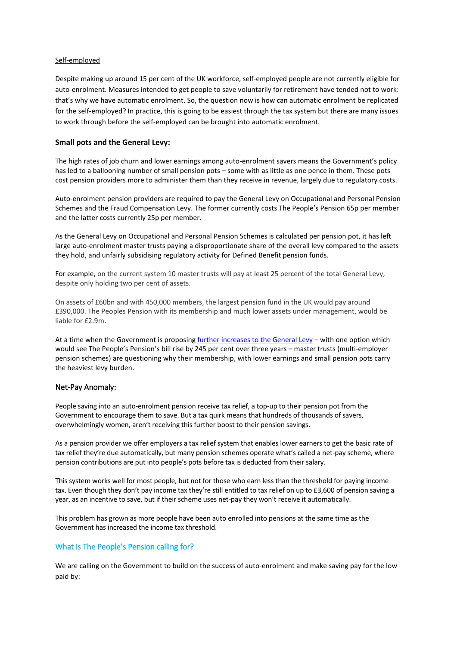#### Self-employed

Despite making up around 15 per cent of the UK workforce, self-employed people are not currently eligible for auto-enrolment. Measures intended to get people to save voluntarily for retirement have tended not to work: that's why we have automatic enrolment. So, the question now is how can automatic enrolment be replicated for the self-employed? In practice, this is going to be easiest through the tax system but there are many issues to work through before the self-employed can be brought into automatic enrolment.

#### **Small pots and the General Levy:**

The high rates of job churn and lower earnings among auto-enrolment savers means the Government's policy has led to a ballooning number of small pension pots – some with as little as one pence in them. These pots cost pension providers more to administer them than they receive in revenue, largely due to regulatory costs.

Auto-enrolment pension providers are required to pay the General Levy on Occupational and Personal Pension Schemes and the Fraud Compensation Levy. The former currently costs The People's Pension 65p per member and the latter costs currently 25p per member.

As the General Levy on Occupational and Personal Pension Schemes is calculated per pension pot, it has left large auto-enrolment master trusts paying a disproportionate share of the overall levy compared to the assets they hold, and unfairly subsidising regulatory activity for Defined Benefit pension funds.

For example, on the current system 10 master trusts will pay at least 25 percent of the total General Levy, despite only holding two per cent of assets.

On assets of £60bn and with 450,000 members, the largest pension fund in the UK would pay around £390,000. The Peoples Pension with its membership and much lower assets under management, would be liable for £2.9m.

At a time when the Government is proposin[g further increases to the General Levy](https://www.gov.uk/government/consultations/the-occupational-and-personal-pension-schemes-general-levy-review-2019) – with one option which would see The People's Pension's bill rise by 245 per cent over three years – master trusts (multi-employer pension schemes) are questioning why their membership, with lower earnings and small pension pots carry the heaviest levy burden.

#### Net-Pay Anomaly:

People saving into an auto-enrolment pension receive tax relief, a top-up to their pension pot from the Government to encourage them to save. But a tax quirk means that hundreds of thousands of savers, overwhelmingly women, aren't receiving this further boost to their pension savings.

As a pension provider we offer employers a tax relief system that enables lower earners to get the basic rate of tax relief they're due automatically, but many pension schemes operate what's called a net-pay scheme, where pension contributions are put into people's pots before tax is deducted from their salary.

This system works well for most people, but not for those who earn less than the threshold for paying income tax. Even though they don't pay income tax they're still entitled to tax relief on up to £3,600 of pension saving a year, as an incentive to save, but if their scheme uses net-pay they won't receive it automatically.

This problem has grown as more people have been auto enrolled into pensions at the same time as the Government has increased the income tax threshold.

#### What is The People's Pension calling for?

We are calling on the Government to build on the success of auto-enrolment and make saving pay for the low paid by: